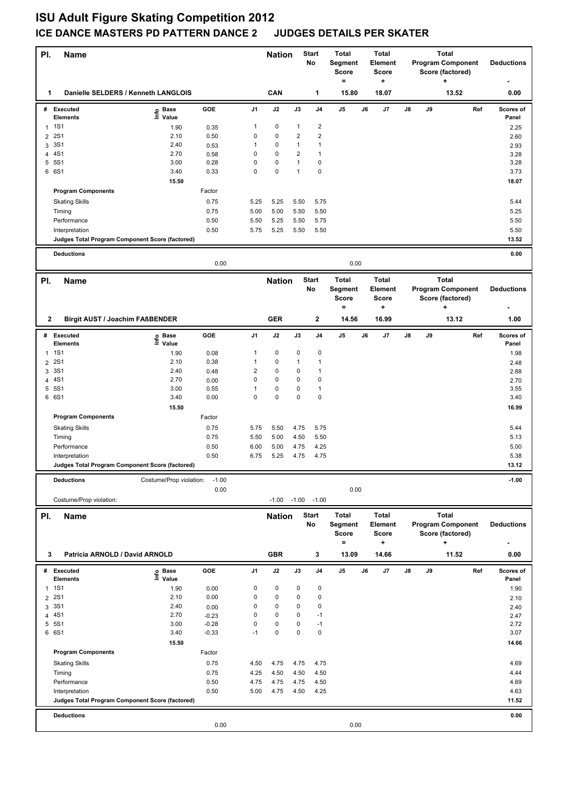## **ISU Adult Figure Skating Competition 2012 ICE DANCE MASTERS PD PATTERN DANCE 2 JUDGES DETAILS PER SKATER**

| PI.          | <b>Name</b>                                                       |                            |              | <b>Start</b><br><b>Nation</b><br>No |                |               | <b>Total</b><br><b>Total</b><br>Segment<br><b>Element</b><br>Score<br><b>Score</b><br>$\qquad \qquad =$<br>$\ddot{}$ |                         | <b>Total</b><br><b>Program Component</b><br>Score (factored)<br>+ |                  |                                              | <b>Deductions</b> |                                              |                    |
|--------------|-------------------------------------------------------------------|----------------------------|--------------|-------------------------------------|----------------|---------------|----------------------------------------------------------------------------------------------------------------------|-------------------------|-------------------------------------------------------------------|------------------|----------------------------------------------|-------------------|----------------------------------------------|--------------------|
| 1            | Danielle SELDERS / Kenneth LANGLOIS                               |                            |              |                                     | CAN            |               | 1                                                                                                                    | 15.80                   |                                                                   | 18.07            |                                              |                   | 13.52                                        | 0.00               |
|              | # Executed                                                        | e Base<br>⊑ Value          | GOE          | J1                                  | J2             | J3            | J <sub>4</sub>                                                                                                       | J5                      | J6                                                                | J7               | J8                                           | J9                | Ref                                          | <b>Scores of</b>   |
|              | <b>Elements</b>                                                   |                            |              |                                     |                |               | $\overline{2}$                                                                                                       |                         |                                                                   |                  |                                              |                   |                                              | Panel              |
| $\mathbf{1}$ | <b>1S1</b><br><b>2S1</b>                                          | 1.90<br>2.10               | 0.35<br>0.50 | 1<br>$\pmb{0}$                      | 0<br>$\pmb{0}$ | 1<br>2        | $\overline{2}$                                                                                                       |                         |                                                                   |                  |                                              |                   |                                              | 2.25               |
| 2<br>3       | 3S1                                                               | 2.40                       | 0.53         | 1                                   | $\pmb{0}$      | 1             | $\mathbf{1}$                                                                                                         |                         |                                                                   |                  |                                              |                   |                                              | 2.60<br>2.93       |
| 4            | 4S1                                                               | 2.70                       | 0.58         | 0                                   | $\mathbf 0$    | 2             | $\mathbf{1}$                                                                                                         |                         |                                                                   |                  |                                              |                   |                                              | 3.28               |
|              | 5 5S1                                                             | 3.00                       | 0.28         | 0                                   | $\pmb{0}$      | 1             | $\mathbf 0$                                                                                                          |                         |                                                                   |                  |                                              |                   |                                              | 3.28               |
|              | 6 6S1                                                             | 3.40                       | 0.33         | $\mathbf 0$                         | $\pmb{0}$      | $\mathbf{1}$  | 0                                                                                                                    |                         |                                                                   |                  |                                              |                   |                                              | 3.73               |
|              |                                                                   | 15.50                      |              |                                     |                |               |                                                                                                                      |                         |                                                                   |                  |                                              |                   |                                              | 18.07              |
|              | <b>Program Components</b>                                         |                            | Factor       |                                     |                |               |                                                                                                                      |                         |                                                                   |                  |                                              |                   |                                              |                    |
|              | <b>Skating Skills</b>                                             |                            | 0.75         | 5.25                                | 5.25           | 5.50          | 5.75                                                                                                                 |                         |                                                                   |                  |                                              |                   |                                              | 5.44               |
|              | Timing                                                            |                            | 0.75         | 5.00                                | 5.00           | 5.50          | 5.50                                                                                                                 |                         |                                                                   |                  |                                              |                   |                                              | 5.25               |
|              | Performance                                                       |                            | 0.50         | 5.50                                | 5.25           | 5.50          | 5.75                                                                                                                 |                         |                                                                   |                  |                                              |                   |                                              | 5.50               |
|              | Interpretation                                                    |                            | 0.50         | 5.75                                | 5.25           | 5.50          | 5.50                                                                                                                 |                         |                                                                   |                  |                                              |                   |                                              | 5.50               |
|              | Judges Total Program Component Score (factored)                   |                            |              |                                     |                |               |                                                                                                                      |                         |                                                                   |                  |                                              |                   |                                              | 13.52              |
|              | <b>Deductions</b>                                                 |                            | 0.00         |                                     |                |               |                                                                                                                      | 0.00                    |                                                                   |                  |                                              |                   |                                              | 0.00               |
|              |                                                                   |                            |              |                                     |                |               |                                                                                                                      |                         |                                                                   |                  |                                              |                   |                                              |                    |
| PI.          | <b>Name</b>                                                       |                            |              |                                     | <b>Nation</b>  |               | <b>Start</b>                                                                                                         | <b>Total</b>            |                                                                   | <b>Total</b>     |                                              |                   | <b>Total</b>                                 |                    |
|              |                                                                   |                            |              |                                     |                |               | No                                                                                                                   | Segment<br><b>Score</b> |                                                                   | Element<br>Score | <b>Program Component</b><br>Score (factored) |                   |                                              | <b>Deductions</b>  |
| $\mathbf{2}$ | <b>Birgit AUST / Joachim FAßBENDER</b>                            |                            |              |                                     | <b>GER</b>     |               | $\mathbf{2}$                                                                                                         | Ξ<br>14.56              |                                                                   | +<br>16.99       |                                              |                   | ٠<br>13.12                                   | 1.00               |
|              |                                                                   |                            |              |                                     |                |               |                                                                                                                      |                         |                                                                   |                  |                                              |                   |                                              |                    |
|              | # Executed<br><b>Elements</b>                                     | e Base<br>E Value<br>Value | <b>GOE</b>   | J1                                  | J2             | J3            | J4                                                                                                                   | J5                      | J6                                                                | J7               | J8                                           | J9                | Ref                                          | Scores of<br>Panel |
| $\mathbf{1}$ | <b>1S1</b>                                                        | 1.90                       | 0.08         | 1                                   | 0              | 0             | 0                                                                                                                    |                         |                                                                   |                  |                                              |                   |                                              | 1.98               |
| 2            | <b>2S1</b>                                                        | 2.10                       | 0.38         | 1                                   | 0              | 1             | $\mathbf{1}$                                                                                                         |                         |                                                                   |                  |                                              |                   |                                              | 2.48               |
| 3            | 3S1                                                               | 2.40                       | 0.48         | $\overline{\mathbf{c}}$             | $\pmb{0}$      | 0             | $\mathbf{1}$                                                                                                         |                         |                                                                   |                  |                                              |                   |                                              | 2.88               |
| 4            | 4S1                                                               | 2.70                       | 0.00         | 0                                   | $\pmb{0}$      | 0             | $\pmb{0}$                                                                                                            |                         |                                                                   |                  |                                              |                   |                                              | 2.70               |
| 5            | 5S1                                                               | 3.00                       | 0.55         | 1                                   | $\pmb{0}$      | 0             | $\mathbf{1}$                                                                                                         |                         |                                                                   |                  |                                              |                   |                                              | 3.55               |
|              | 6 6S1                                                             | 3.40                       | 0.00         | $\mathbf 0$                         | $\pmb{0}$      | 0             | $\mathbf 0$                                                                                                          |                         |                                                                   |                  |                                              |                   |                                              | 3.40               |
|              |                                                                   | 15.50                      |              |                                     |                |               |                                                                                                                      |                         |                                                                   |                  |                                              |                   |                                              | 16.99              |
|              | <b>Program Components</b>                                         |                            | Factor       |                                     |                |               |                                                                                                                      |                         |                                                                   |                  |                                              |                   |                                              |                    |
|              | <b>Skating Skills</b>                                             |                            | 0.75         | 5.75                                | 5.50           | 4.75          | 5.75                                                                                                                 |                         |                                                                   |                  |                                              |                   |                                              | 5.44               |
|              | Timing                                                            |                            | 0.75         | 5.50                                | 5.00           | 4.50          | 5.50                                                                                                                 |                         |                                                                   |                  |                                              |                   |                                              | 5.13               |
|              | Performance                                                       |                            | 0.50         | 6.00                                | 5.00           | 4.75          | 4.25                                                                                                                 |                         |                                                                   |                  |                                              |                   |                                              | 5.00               |
|              | Interpretation<br>Judges Total Program Component Score (factored) |                            | 0.50         | 6.75                                | 5.25           | 4.75          | 4.75                                                                                                                 |                         |                                                                   |                  |                                              |                   |                                              | 5.38<br>13.12      |
|              |                                                                   |                            |              |                                     |                |               |                                                                                                                      |                         |                                                                   |                  |                                              |                   |                                              |                    |
|              | Costume/Prop violation:<br>$-1.00$<br><b>Deductions</b>           |                            |              |                                     |                |               |                                                                                                                      |                         |                                                                   |                  |                                              |                   |                                              | $-1.00$            |
|              |                                                                   |                            | 0.00         |                                     | $-1.00$        | $-1.00 -1.00$ |                                                                                                                      | 0.00                    |                                                                   |                  |                                              |                   |                                              |                    |
|              | Costume/Prop violation:                                           |                            |              |                                     |                |               |                                                                                                                      |                         |                                                                   |                  |                                              |                   |                                              |                    |
| PI.          | Name                                                              |                            |              |                                     | <b>Nation</b>  |               | <b>Start</b>                                                                                                         | <b>Total</b>            |                                                                   | <b>Total</b>     |                                              |                   | <b>Total</b>                                 |                    |
|              |                                                                   |                            |              |                                     |                |               | No                                                                                                                   | Segment<br>Score        |                                                                   | Element<br>Score |                                              |                   | <b>Program Component</b><br>Score (factored) | <b>Deductions</b>  |
|              |                                                                   |                            |              |                                     |                |               |                                                                                                                      | $=$                     |                                                                   | ٠                |                                              |                   | ٠                                            | ٠                  |
| 3            | Patricia ARNOLD / David ARNOLD                                    |                            |              |                                     | <b>GBR</b>     |               | 3                                                                                                                    | 13.09                   |                                                                   | 14.66            |                                              |                   | 11.52                                        | 0.00               |
|              | # Executed<br><b>Elements</b>                                     | e Base<br>E Value<br>Value | GOE          | J1                                  | J2             | J3            | J4                                                                                                                   | J5                      | J6                                                                | J7               | J8                                           | J9                | Ref                                          | Scores of<br>Panel |
| $\mathbf{1}$ | 1S1                                                               | 1.90                       | 0.00         | 0                                   | 0              | 0             | 0                                                                                                                    |                         |                                                                   |                  |                                              |                   |                                              | 1.90               |
| 2            | <b>2S1</b>                                                        | 2.10                       | 0.00         | 0                                   | $\pmb{0}$      | 0             | $\pmb{0}$                                                                                                            |                         |                                                                   |                  |                                              |                   |                                              | 2.10               |
| 3            | 3S1                                                               | 2.40                       | 0.00         | 0                                   | 0              | 0             | 0                                                                                                                    |                         |                                                                   |                  |                                              |                   |                                              | 2.40               |
| 4            | 4S1                                                               | 2.70                       | $-0.23$      | 0                                   | 0              | 0             | $-1$                                                                                                                 |                         |                                                                   |                  |                                              |                   |                                              | 2.47               |
| 5            | 5S1                                                               | 3.00                       | $-0.28$      | 0                                   | $\pmb{0}$      | 0             | $-1$                                                                                                                 |                         |                                                                   |                  |                                              |                   |                                              | 2.72               |
|              | 6 6S1                                                             | 3.40                       | $-0.33$      | $-1$                                | $\pmb{0}$      | 0             | $\mathbf 0$                                                                                                          |                         |                                                                   |                  |                                              |                   |                                              | 3.07               |
|              |                                                                   | 15.50                      |              |                                     |                |               |                                                                                                                      |                         |                                                                   |                  |                                              |                   |                                              | 14.66              |
|              | <b>Program Components</b>                                         |                            | Factor       |                                     |                |               |                                                                                                                      |                         |                                                                   |                  |                                              |                   |                                              |                    |
|              | <b>Skating Skills</b>                                             |                            | 0.75         | 4.50                                | 4.75           | 4.75          | 4.75                                                                                                                 |                         |                                                                   |                  |                                              |                   |                                              | 4.69               |
|              | Timing                                                            |                            | 0.75         | 4.25                                | 4.50           | 4.50          | 4.50                                                                                                                 |                         |                                                                   |                  |                                              |                   |                                              | 4.44               |
|              | Performance<br>Interpretation                                     |                            | 0.50<br>0.50 | 4.75<br>5.00                        | 4.75<br>4.75   | 4.75<br>4.50  | 4.50<br>4.25                                                                                                         |                         |                                                                   |                  |                                              |                   |                                              | 4.69<br>4.63       |
|              | Judges Total Program Component Score (factored)                   |                            |              |                                     |                |               |                                                                                                                      |                         |                                                                   |                  |                                              |                   |                                              | 11.52              |
|              |                                                                   |                            |              |                                     |                |               |                                                                                                                      |                         |                                                                   |                  |                                              |                   |                                              |                    |
|              | <b>Deductions</b>                                                 |                            | 0.00         |                                     |                |               |                                                                                                                      | 0.00                    |                                                                   |                  |                                              |                   |                                              | 0.00               |
|              |                                                                   |                            |              |                                     |                |               |                                                                                                                      |                         |                                                                   |                  |                                              |                   |                                              |                    |